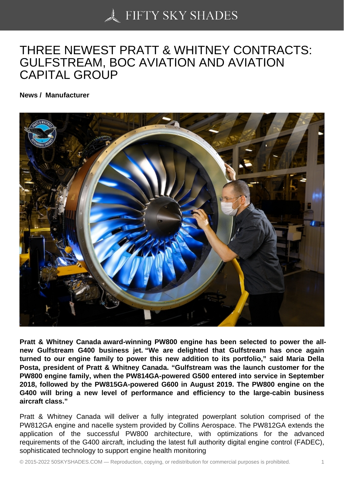## [THREE NEWEST PRA](https://50skyshades.com)TT & WHITNEY CONTRACTS: GULFSTREAM, BOC AVIATION AND AVIATION CAPITAL GROUP

News / Manufacturer

Pratt & Whitney Canada award-winning PW800 engine has been selected to power the allnew Gulfstream G400 business jet. "We are delighted that Gulfstream has once again turned to our engine family to power this new addition to its portfolio," said Maria Della Posta, president of Pratt & Whitney Canada. "Gulfstream was the launch customer for the PW800 engine family, when the PW814GA-powered G500 entered into service in September 2018, followed by the PW815GA-powered G600 in August 2019. The PW800 engine on the G400 will bring a new level of performance and efficiency to the large-cabin business aircraft class."

Pratt & Whitney Canada will deliver a fully integrated powerplant solution comprised of the PW812GA engine and nacelle system provided by Collins Aerospace. The PW812GA extends the application of the successful PW800 architecture, with optimizations for the advanced requirements of the G400 aircraft, including the latest full authority digital engine control (FADEC), sophisticated technology to support engine health monitoring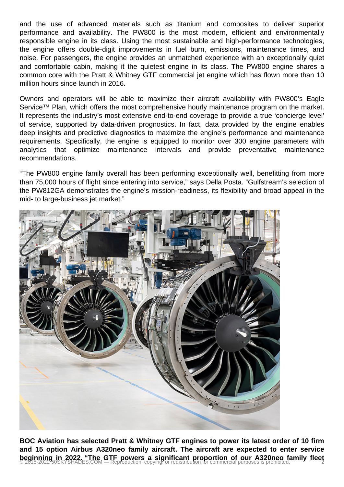and the use of advanced materials such as titanium and composites to deliver superior performance and availability. The PW800 is the most modern, efficient and environmentally responsible engine in its class. Using the most sustainable and high-performance technologies, the engine offers double-digit improvements in fuel burn, emissions, maintenance times, and noise. For passengers, the engine provides an unmatched experience with an exceptionally quiet and comfortable cabin, making it the quietest engine in its class. The PW800 engine shares a common core with the Pratt & Whitney GTF commercial jet engine which has flown more than 10 million hours since launch in 2016.

Owners and operators will be able to maximize their aircraft availability with PW800's Eagle Service™ Plan, which offers the most comprehensive hourly maintenance program on the market. It represents the industry's most extensive end-to-end coverage to provide a true 'concierge level' of service, supported by data-driven prognostics. In fact, data provided by the engine enables deep insights and predictive diagnostics to maximize the engine's performance and maintenance requirements. Specifically, the engine is equipped to monitor over 300 engine parameters with analytics that optimize maintenance intervals and provide preventative maintenance recommendations.

"The PW800 engine family overall has been performing exceptionally well, benefitting from more than 75,000 hours of flight since entering into service," says Della Posta. "Gulfstream's selection of the PW812GA demonstrates the engine's mission-readiness, its flexibility and broad appeal in the mid- to large-business jet market."



**BOC Aviation has selected Pratt & Whitney GTF engines to power its latest order of 10 firm and 15 option Airbus A320neo family aircraft. The aircraft are expected to enter service beginning in 2022. "The GTF powers a significant proportion of our A320neo family fleet <br>© 2015-2022 50SKYSHADES.COM — Reproduction, copying, or redistribution for commercial purposes is prohibited.**